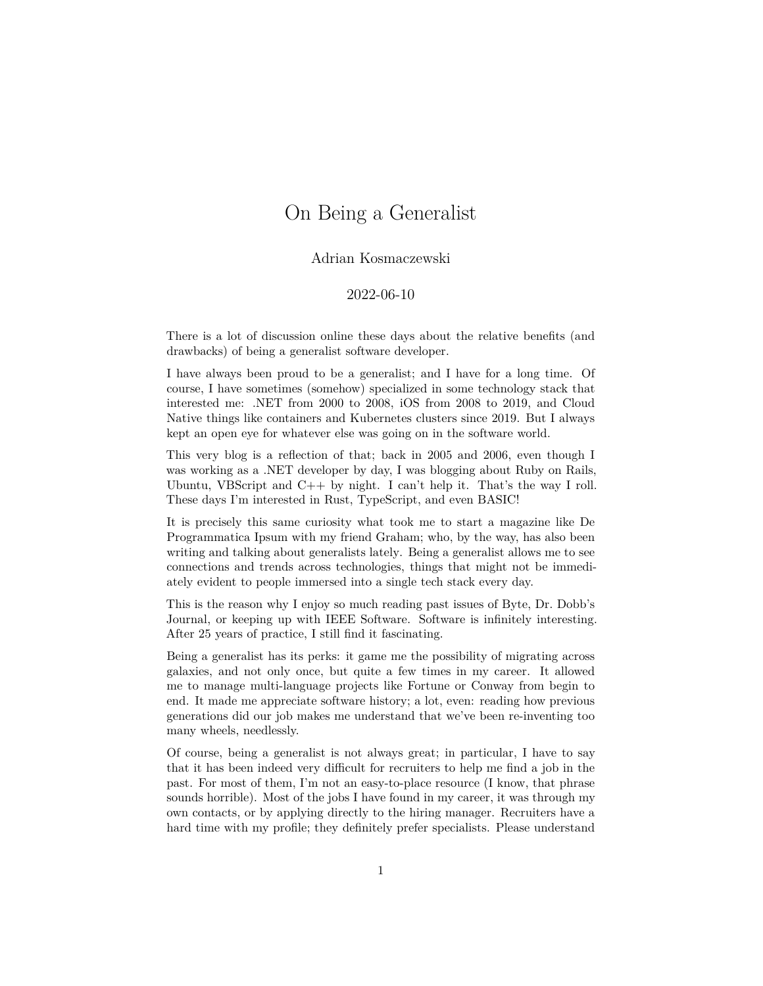## On Being a Generalist

## Adrian Kosmaczewski

## 2022-06-10

There is a lot of discussion online these days about the relative benefits (and drawbacks) of being a generalist software developer.

I have always been proud to be a generalist; and I have for a long time. Of course, I have sometimes (somehow) specialized in some technology stack that interested me: .NET from 2000 to 2008, iOS from 2008 to 2019, and Cloud Native things like containers and Kubernetes clusters since 2019. But I always kept an open eye for whatever else was going on in the software world.

This very blog is a reflection of that; back in 2005 and 2006, even though I was working as a .NET developer by day, I was blogging about Ruby on Rails, Ubuntu, VBScript and C++ by night. I can't help it. That's the way I roll. These days I'm interested in Rust, TypeScript, and even BASIC!

It is precisely this same curiosity what took me to start a magazine like [De](https://deprogrammaticaipsum.com/) [Programmatica Ipsum](https://deprogrammaticaipsum.com/) with my friend Graham; who, by the way, has also been [writing and talking about generalists lately.](https://sicpers.curated.co/issues/9?#start) Being a generalist allows me to see connections and trends across technologies, things that might not be immediately evident to people immersed into a single tech stack every day.

This is the reason why I enjoy so much reading past issues of [Byte,](https://en.wikipedia.org/wiki/Byte_(magazine)) [Dr. Dobb's](https://en.wikipedia.org/wiki/Dr._Dobb) [Journal](https://en.wikipedia.org/wiki/Dr._Dobb), or keeping up with [IEEE Software.](https://en.wikipedia.org/wiki/IEEE_Software) Software is infinitely interesting. After 25 years of practice, I still find it fascinating.

Being a generalist has its perks: it game me the possibility of migrating across galaxies, and not only once, but quite a few times in my career. It allowed me to manage multi-language projects like Fortune or Conway from begin to end. It made me appreciate software history; a lot, even: reading how previous generations did our job makes me understand that we've been re-inventing too many wheels, needlessly.

Of course, being a generalist is not always great; in particular, I have to say that it has been indeed very difficult for recruiters to help me find a job in the past. For most of them, I'm not an easy-to-place resource (I know, that phrase sounds horrible). Most of the jobs I have found in my career, it was through my own contacts, or by applying directly to the hiring manager. Recruiters have a hard time with my profile; they definitely prefer specialists. Please understand